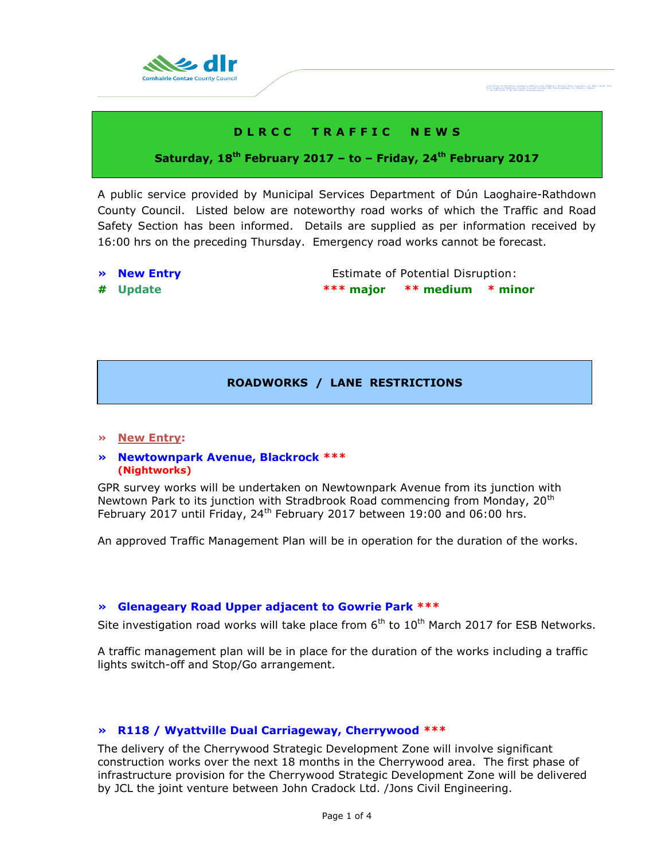

# **D L R C C T R A F F I C N E W S**

# **Saturday, 18 th February 2017 – to – Friday, 24th February 2017**

A public service provided by Municipal Services Department of Dún Laoghaire-Rathdown County Council. Listed below are noteworthy road works of which the Traffic and Road Safety Section has been informed. Details are supplied as per information received by 16:00 hrs on the preceding Thursday. Emergency road works cannot be forecast.

- 
- 

**• New Entry Extimate of Potential Disruption: # Update \*\*\* major \*\* medium \* minor**

Cemhairle Contae Dhòn Leoghaire-Ráth an Dùn<br>Dùn Laoghaire-Rathdown-County-Coungil, Cou

# **ROADWORKS / LANE RESTRICTIONS**

#### **» New Entry:**

#### **» Newtownpark Avenue, Blackrock \*\*\* (Nightworks)**

GPR survey works will be undertaken on Newtownpark Avenue from its junction with Newtown Park to its junction with Stradbrook Road commencing from Monday, 20<sup>th</sup> February 2017 until Friday,  $24<sup>th</sup>$  February 2017 between 19:00 and 06:00 hrs.

An approved Traffic Management Plan will be in operation for the duration of the works.

#### **» Glenageary Road Upper adjacent to Gowrie Park \*\*\***

Site investigation road works will take place from  $6<sup>th</sup>$  to  $10<sup>th</sup>$  March 2017 for ESB Networks.

A traffic management plan will be in place for the duration of the works including a traffic lights switch-off and Stop/Go arrangement.

# **» R118 / Wyattville Dual Carriageway, Cherrywood \*\*\***

The delivery of the Cherrywood Strategic Development Zone will involve significant construction works over the next 18 months in the Cherrywood area. The first phase of infrastructure provision for the Cherrywood Strategic Development Zone will be delivered by JCL the joint venture between John Cradock Ltd. /Jons Civil Engineering.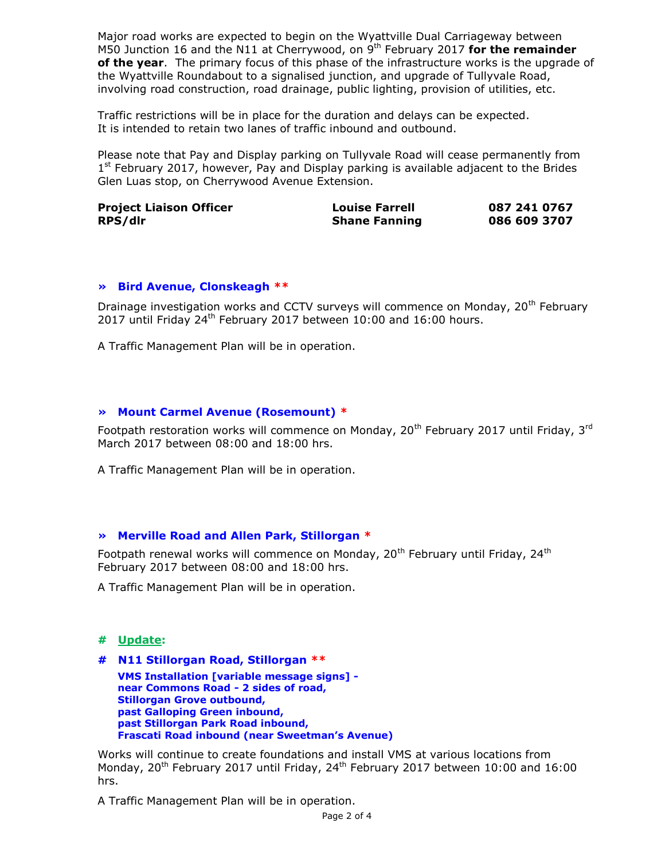Major road works are expected to begin on the Wyattville Dual Carriageway between M50 Junction 16 and the N11 at Cherrywood, on 9<sup>th</sup> February 2017 for the remainder **of the year**. The primary focus of this phase of the infrastructure works is the upgrade of the Wyattville Roundabout to a signalised junction, and upgrade of Tullyvale Road, involving road construction, road drainage, public lighting, provision of utilities, etc.

Traffic restrictions will be in place for the duration and delays can be expected. It is intended to retain two lanes of traffic inbound and outbound.

Please note that Pay and Display parking on Tullyvale Road will cease permanently from 1<sup>st</sup> February 2017, however, Pay and Display parking is available adjacent to the Brides Glen Luas stop, on Cherrywood Avenue Extension.

| <b>Project Liaison Officer</b> | <b>Louise Farrell</b> | 087 241 0767 |
|--------------------------------|-----------------------|--------------|
| RPS/dlr                        | <b>Shane Fanning</b>  | 086 609 3707 |

#### **» Bird Avenue, Clonskeagh \*\***

Drainage investigation works and CCTV surveys will commence on Monday, 20<sup>th</sup> February 2017 until Friday 24<sup>th</sup> February 2017 between 10:00 and 16:00 hours.

A Traffic Management Plan will be in operation.

# **» Mount Carmel Avenue (Rosemount) \***

Footpath restoration works will commence on Monday, 20<sup>th</sup> February 2017 until Friday, 3<sup>rd</sup> March 2017 between 08:00 and 18:00 hrs.

A Traffic Management Plan will be in operation.

#### **» Merville Road and Allen Park, Stillorgan \***

Footpath renewal works will commence on Monday,  $20<sup>th</sup>$  February until Friday,  $24<sup>th</sup>$ February 2017 between 08:00 and 18:00 hrs.

A Traffic Management Plan will be in operation.

# **# Update:**

**# N11 Stillorgan Road, Stillorgan \*\* VMS Installation [variable message signs] near Commons Road - 2 sides of road, Stillorgan Grove outbound, past Galloping Green inbound, past Stillorgan Park Road inbound, Frascati Road inbound (near Sweetman's Avenue)** 

Works will continue to create foundations and install VMS at various locations from Monday, 20<sup>th</sup> February 2017 until Friday, 24<sup>th</sup> February 2017 between 10:00 and 16:00 hrs.

A Traffic Management Plan will be in operation.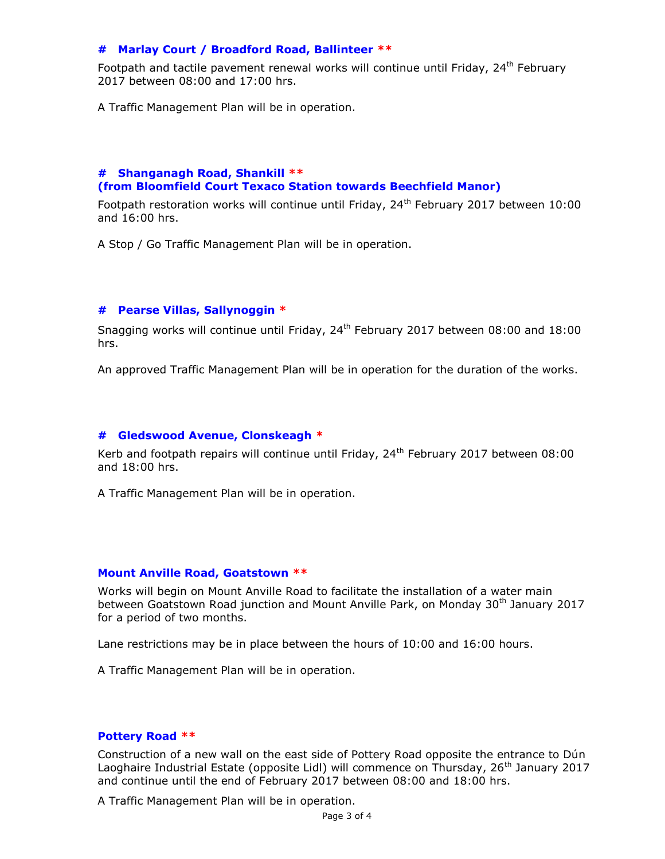# **# Marlay Court / Broadford Road, Ballinteer \*\***

Footpath and tactile pavement renewal works will continue until Friday, 24<sup>th</sup> Februarv 2017 between 08:00 and 17:00 hrs.

A Traffic Management Plan will be in operation.

# **# Shanganagh Road, Shankill \*\* (from Bloomfield Court Texaco Station towards Beechfield Manor)**

Footpath restoration works will continue until Friday,  $24<sup>th</sup>$  February 2017 between 10:00 and 16:00 hrs.

A Stop / Go Traffic Management Plan will be in operation.

# **# Pearse Villas, Sallynoggin \***

Snagging works will continue until Friday,  $24<sup>th</sup>$  February 2017 between 08:00 and 18:00 hrs.

An approved Traffic Management Plan will be in operation for the duration of the works.

#### **# Gledswood Avenue, Clonskeagh \***

Kerb and footpath repairs will continue until Friday,  $24<sup>th</sup>$  February 2017 between 08:00 and 18:00 hrs.

A Traffic Management Plan will be in operation.

#### **Mount Anville Road, Goatstown \*\***

Works will begin on Mount Anville Road to facilitate the installation of a water main between Goatstown Road junction and Mount Anville Park, on Monday 30<sup>th</sup> January 2017 for a period of two months.

Lane restrictions may be in place between the hours of 10:00 and 16:00 hours.

A Traffic Management Plan will be in operation.

#### **Pottery Road \*\***

Construction of a new wall on the east side of Pottery Road opposite the entrance to Dún Laoghaire Industrial Estate (opposite Lidl) will commence on Thursday, 26<sup>th</sup> January 2017 and continue until the end of February 2017 between 08:00 and 18:00 hrs.

A Traffic Management Plan will be in operation.